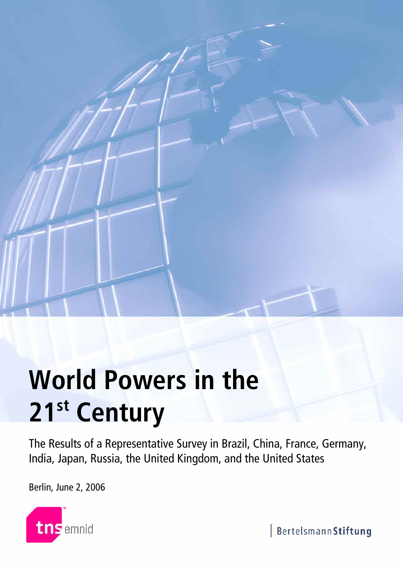

# **World Powers in the 21st Century**

The Results of a Representative Survey in Brazil, China, France, Germany, India, Japan, Russia, the United Kingdom, and the United States

Berlin, June 2, 2006



BertelsmannStiftung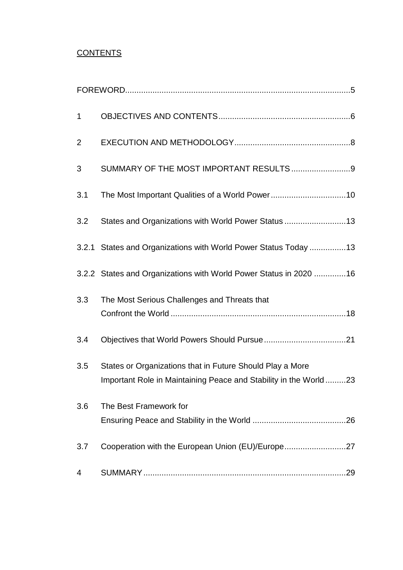# **CONTENTS**

| $\mathbf 1$    |                                                                                                                               |
|----------------|-------------------------------------------------------------------------------------------------------------------------------|
| $\overline{2}$ |                                                                                                                               |
| 3              | SUMMARY OF THE MOST IMPORTANT RESULTS9                                                                                        |
| 3.1            |                                                                                                                               |
| 3.2            | States and Organizations with World Power Status 13                                                                           |
|                | 3.2.1 States and Organizations with World Power Status Today 13                                                               |
|                | 3.2.2 States and Organizations with World Power Status in 2020 16                                                             |
| 3.3            | The Most Serious Challenges and Threats that                                                                                  |
| 3.4            |                                                                                                                               |
| 3.5            | States or Organizations that in Future Should Play a More<br>Important Role in Maintaining Peace and Stability in the World23 |
| 3.6            | The Best Framework for                                                                                                        |
| 3.7            | Cooperation with the European Union (EU)/Europe27                                                                             |
| 4              |                                                                                                                               |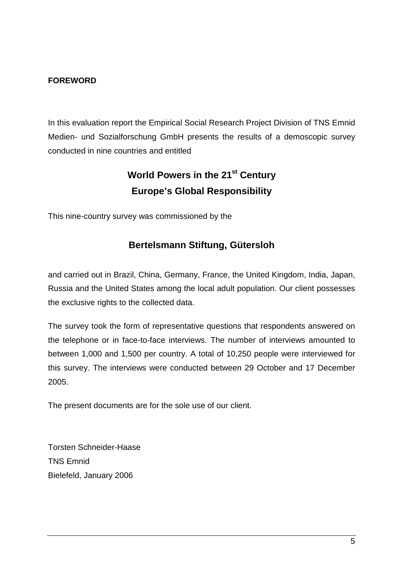## **FOREWORD**

In this evaluation report the Empirical Social Research Project Division of TNS Emnid Medien- und Sozialforschung GmbH presents the results of a demoscopic survey conducted in nine countries and entitled

# **World Powers in the 21st Century Europe's Global Responsibility**

This nine-country survey was commissioned by the

## **Bertelsmann Stiftung, Gütersloh**

and carried out in Brazil, China, Germany, France, the United Kingdom, India, Japan, Russia and the United States among the local adult population. Our client possesses the exclusive rights to the collected data.

The survey took the form of representative questions that respondents answered on the telephone or in face-to-face interviews. The number of interviews amounted to between 1,000 and 1,500 per country. A total of 10,250 people were interviewed for this survey. The interviews were conducted between 29 October and 17 December 2005.

The present documents are for the sole use of our client.

Torsten Schneider-Haase TNS Emnid Bielefeld, January 2006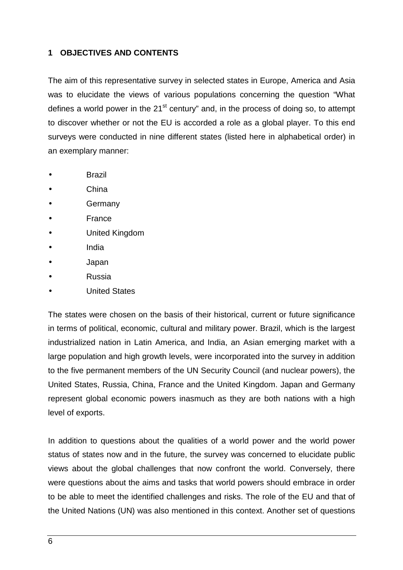## **1 OBJECTIVES AND CONTENTS**

The aim of this representative survey in selected states in Europe, America and Asia was to elucidate the views of various populations concerning the question "What defines a world power in the  $21<sup>st</sup>$  century" and, in the process of doing so, to attempt to discover whether or not the EU is accorded a role as a global player. To this end surveys were conducted in nine different states (listed here in alphabetical order) in an exemplary manner:

- **Brazil**
- China
- **Germany**
- **France**
- United Kingdom
- India
- Japan
- Russia
- United States

The states were chosen on the basis of their historical, current or future significance in terms of political, economic, cultural and military power. Brazil, which is the largest industrialized nation in Latin America, and India, an Asian emerging market with a large population and high growth levels, were incorporated into the survey in addition to the five permanent members of the UN Security Council (and nuclear powers), the United States, Russia, China, France and the United Kingdom. Japan and Germany represent global economic powers inasmuch as they are both nations with a high level of exports.

In addition to questions about the qualities of a world power and the world power status of states now and in the future, the survey was concerned to elucidate public views about the global challenges that now confront the world. Conversely, there were questions about the aims and tasks that world powers should embrace in order to be able to meet the identified challenges and risks. The role of the EU and that of the United Nations (UN) was also mentioned in this context. Another set of questions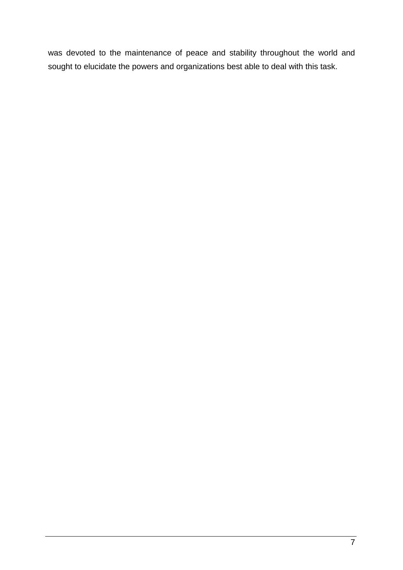was devoted to the maintenance of peace and stability throughout the world and sought to elucidate the powers and organizations best able to deal with this task.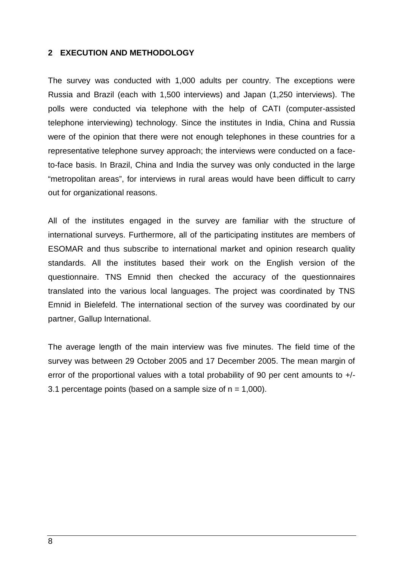## **2 EXECUTION AND METHODOLOGY**

The survey was conducted with 1,000 adults per country. The exceptions were Russia and Brazil (each with 1,500 interviews) and Japan (1,250 interviews). The polls were conducted via telephone with the help of CATI (computer-assisted telephone interviewing) technology. Since the institutes in India, China and Russia were of the opinion that there were not enough telephones in these countries for a representative telephone survey approach; the interviews were conducted on a faceto-face basis. In Brazil, China and India the survey was only conducted in the large "metropolitan areas", for interviews in rural areas would have been difficult to carry out for organizational reasons.

All of the institutes engaged in the survey are familiar with the structure of international surveys. Furthermore, all of the participating institutes are members of ESOMAR and thus subscribe to international market and opinion research quality standards. All the institutes based their work on the English version of the questionnaire. TNS Emnid then checked the accuracy of the questionnaires translated into the various local languages. The project was coordinated by TNS Emnid in Bielefeld. The international section of the survey was coordinated by our partner, Gallup International.

The average length of the main interview was five minutes. The field time of the survey was between 29 October 2005 and 17 December 2005. The mean margin of error of the proportional values with a total probability of 90 per cent amounts to  $+/-$ 3.1 percentage points (based on a sample size of  $n = 1,000$ ).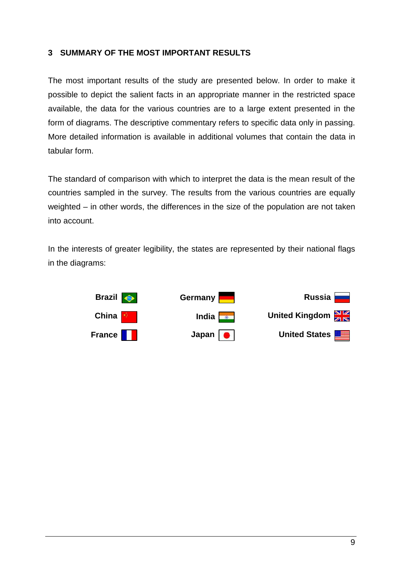## **3 SUMMARY OF THE MOST IMPORTANT RESULTS**

The most important results of the study are presented below. In order to make it possible to depict the salient facts in an appropriate manner in the restricted space available, the data for the various countries are to a large extent presented in the form of diagrams. The descriptive commentary refers to specific data only in passing. More detailed information is available in additional volumes that contain the data in tabular form.

The standard of comparison with which to interpret the data is the mean result of the countries sampled in the survey. The results from the various countries are equally weighted – in other words, the differences in the size of the population are not taken into account.

In the interests of greater legibility, the states are represented by their national flags in the diagrams:

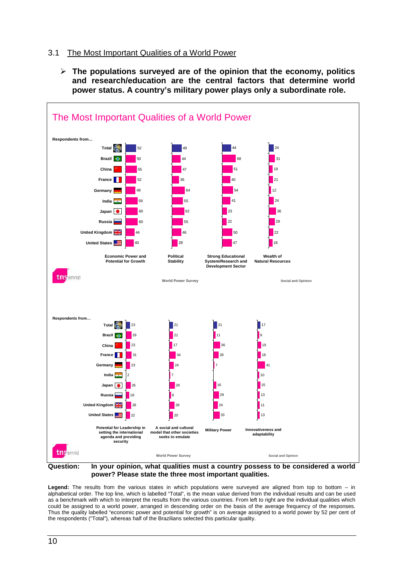## 3.1 The Most Important Qualities of a World Power

 **The populations surveyed are of the opinion that the economy, politics and research/education are the central factors that determine world power status. A country's military power plays only a subordinate role.**



**Question: In your opinion, what qualities must a country possess to be considered a world power? Please state the three most important qualities.**

**Legend:** The results from the various states in which populations were surveyed are aligned from top to bottom – in alphabetical order. The top line, which is labelled "Total", is the mean value derived from the individual results and can be used as a benchmark with which to interpret the results from the various countries. From left to right are the individual qualities which could be assigned to a world power, arranged in descending order on the basis of the average frequency of the responses. Thus the quality labelled "economic power and potential for growth" is on average assigned to a world power by 52 per cent of the respondents ("Total"), whereas half of the Brazilians selected this particular quality.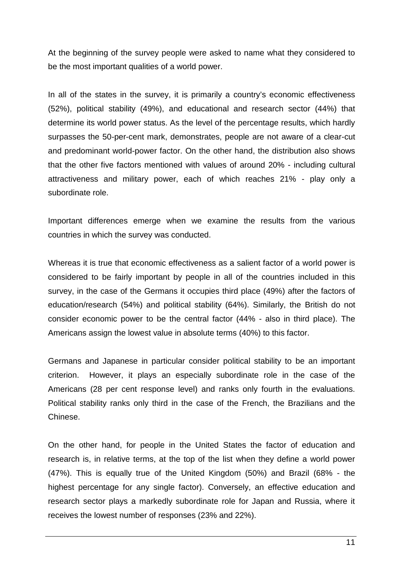At the beginning of the survey people were asked to name what they considered to be the most important qualities of a world power.

In all of the states in the survey, it is primarily a country's economic effectiveness (52%), political stability (49%), and educational and research sector (44%) that determine its world power status. As the level of the percentage results, which hardly surpasses the 50-per-cent mark, demonstrates, people are not aware of a clear-cut and predominant world-power factor. On the other hand, the distribution also shows that the other five factors mentioned with values of around 20% - including cultural attractiveness and military power, each of which reaches 21% - play only a subordinate role.

Important differences emerge when we examine the results from the various countries in which the survey was conducted.

Whereas it is true that economic effectiveness as a salient factor of a world power is considered to be fairly important by people in all of the countries included in this survey, in the case of the Germans it occupies third place (49%) after the factors of education/research (54%) and political stability (64%). Similarly, the British do not consider economic power to be the central factor (44% - also in third place). The Americans assign the lowest value in absolute terms (40%) to this factor.

Germans and Japanese in particular consider political stability to be an important criterion. However, it plays an especially subordinate role in the case of the Americans (28 per cent response level) and ranks only fourth in the evaluations. Political stability ranks only third in the case of the French, the Brazilians and the Chinese.

On the other hand, for people in the United States the factor of education and research is, in relative terms, at the top of the list when they define a world power (47%). This is equally true of the United Kingdom (50%) and Brazil (68% - the highest percentage for any single factor). Conversely, an effective education and research sector plays a markedly subordinate role for Japan and Russia, where it receives the lowest number of responses (23% and 22%).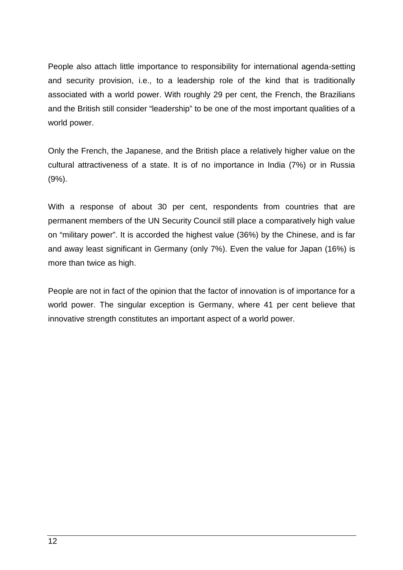People also attach little importance to responsibility for international agenda-setting and security provision, i.e., to a leadership role of the kind that is traditionally associated with a world power. With roughly 29 per cent, the French, the Brazilians and the British still consider "leadership" to be one of the most important qualities of a world power.

Only the French, the Japanese, and the British place a relatively higher value on the cultural attractiveness of a state. It is of no importance in India (7%) or in Russia (9%).

With a response of about 30 per cent, respondents from countries that are permanent members of the UN Security Council still place a comparatively high value on "military power". It is accorded the highest value (36%) by the Chinese, and is far and away least significant in Germany (only 7%). Even the value for Japan (16%) is more than twice as high.

People are not in fact of the opinion that the factor of innovation is of importance for a world power. The singular exception is Germany, where 41 per cent believe that innovative strength constitutes an important aspect of a world power.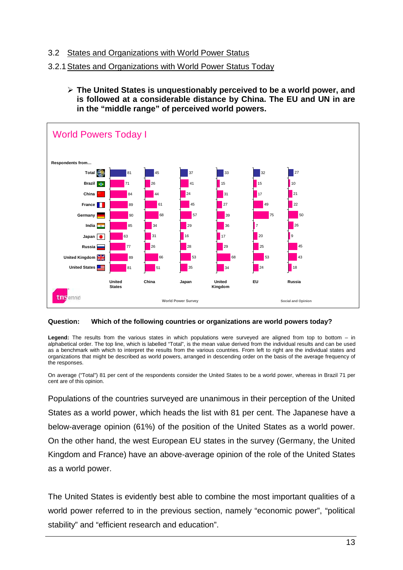## 3.2 States and Organizations with World Power Status

## 3.2.1States and Organizations with World Power Status Today

 **The United States is unquestionably perceived to be a world power, and is followed at a considerable distance by China. The EU and UN in are in the "middle range" of perceived world powers.**



#### **Question: Which of the following countries or organizations are world powers today?**

**Legend:** The results from the various states in which populations were surveyed are aligned from top to bottom – in alphabetical order. The top line, which is labelled "Total", is the mean value derived from the individual results and can be used as a benchmark with which to interpret the results from the various countries. From left to right are the individual states and organizations that might be described as world powers, arranged in descending order on the basis of the average frequency of the responses.

On average ("Total") 81 per cent of the respondents consider the United States to be a world power, whereas in Brazil 71 per cent are of this opinion.

Populations of the countries surveyed are unanimous in their perception of the United States as a world power, which heads the list with 81 per cent. The Japanese have a below-average opinion (61%) of the position of the United States as a world power. On the other hand, the west European EU states in the survey (Germany, the United Kingdom and France) have an above-average opinion of the role of the United States as a world power.

The United States is evidently best able to combine the most important qualities of a world power referred to in the previous section, namely "economic power", "political stability" and "efficient research and education".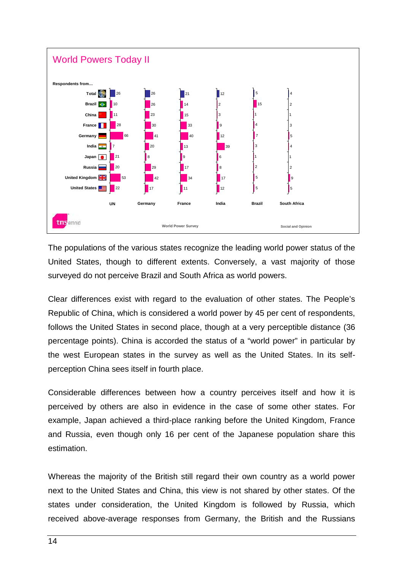

The populations of the various states recognize the leading world power status of the United States, though to different extents. Conversely, a vast majority of those surveyed do not perceive Brazil and South Africa as world powers.

Clear differences exist with regard to the evaluation of other states. The People's Republic of China, which is considered a world power by 45 per cent of respondents, follows the United States in second place, though at a very perceptible distance (36 percentage points). China is accorded the status of a "world power" in particular by the west European states in the survey as well as the United States. In its selfperception China sees itself in fourth place.

Considerable differences between how a country perceives itself and how it is perceived by others are also in evidence in the case of some other states. For example, Japan achieved a third-place ranking before the United Kingdom, France and Russia, even though only 16 per cent of the Japanese population share this estimation.

Whereas the majority of the British still regard their own country as a world power next to the United States and China, this view is not shared by other states. Of the states under consideration, the United Kingdom is followed by Russia, which received above-average responses from Germany, the British and the Russians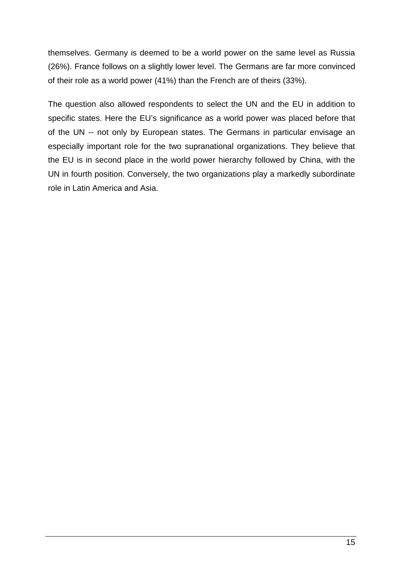themselves. Germany is deemed to be a world power on the same level as Russia (26%). France follows on a slightly lower level. The Germans are far more convinced of their role as a world power (41%) than the French are of theirs (33%).

The question also allowed respondents to select the UN and the EU in addition to specific states. Here the EU's significance as a world power was placed before that of the UN -- not only by European states. The Germans in particular envisage an especially important role for the two supranational organizations. They believe that the EU is in second place in the world power hierarchy followed by China, with the UN in fourth position. Conversely, the two organizations play a markedly subordinate role in Latin America and Asia.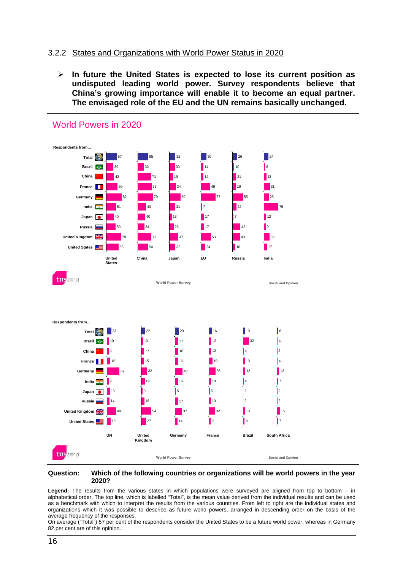## 3.2.2 States and Organizations with World Power Status in 2020

 **In future the United States is expected to lose its current position as undisputed leading world power. Survey respondents believe that China's growing importance will enable it to become an equal partner. The envisaged role of the EU and the UN remains basically unchanged.**



#### **Question: Which of the following countries or organizations will be world powers in the year 2020?**

**Legend:** The results from the various states in which populations were surveyed are aligned from top to bottom – in alphabetical order. The top line, which is labelled "Total", is the mean value derived from the individual results and can be used as a benchmark with which to interpret the results from the various countries. From left to right are the individual states and organizations which it was possible to describe as future world powers, arranged in descending order on the basis of the average frequency of the responses.

On average ("Total") 57 per cent of the respondents consider the United States to be a future world power, whereas in Germany 82 per cent are of this opinion.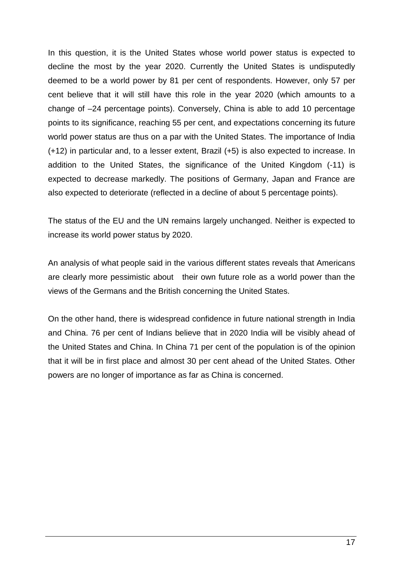In this question, it is the United States whose world power status is expected to decline the most by the year 2020. Currently the United States is undisputedly deemed to be a world power by 81 per cent of respondents. However, only 57 per cent believe that it will still have this role in the year 2020 (which amounts to a change of –24 percentage points). Conversely, China is able to add 10 percentage points to its significance, reaching 55 per cent, and expectations concerning its future world power status are thus on a par with the United States. The importance of India (+12) in particular and, to a lesser extent, Brazil (+5) is also expected to increase. In addition to the United States, the significance of the United Kingdom (-11) is expected to decrease markedly. The positions of Germany, Japan and France are also expected to deteriorate (reflected in a decline of about 5 percentage points).

The status of the EU and the UN remains largely unchanged. Neither is expected to increase its world power status by 2020.

An analysis of what people said in the various different states reveals that Americans are clearly more pessimistic about their own future role as a world power than the views of the Germans and the British concerning the United States.

On the other hand, there is widespread confidence in future national strength in India and China. 76 per cent of Indians believe that in 2020 India will be visibly ahead of the United States and China. In China 71 per cent of the population is of the opinion that it will be in first place and almost 30 per cent ahead of the United States. Other powers are no longer of importance as far as China is concerned.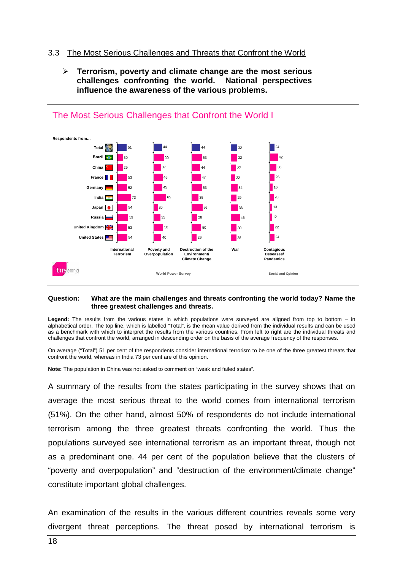## 3.3 The Most Serious Challenges and Threats that Confront the World

 **Terrorism, poverty and climate change are the most serious challenges confronting the world. National perspectives influence the awareness of the various problems.**



#### **Question: What are the main challenges and threats confronting the world today? Name the three greatest challenges and threats.**

**Legend:** The results from the various states in which populations were surveyed are aligned from top to bottom – in alphabetical order. The top line, which is labelled "Total", is the mean value derived from the individual results and can be used as a benchmark with which to interpret the results from the various countries. From left to right are the individual threats and challenges that confront the world, arranged in descending order on the basis of the average frequency of the responses.

On average ("Total") 51 per cent of the respondents consider international terrorism to be one of the three greatest threats that confront the world, whereas in India 73 per cent are of this opinion.

**Note:** The population in China was not asked to comment on "weak and failed states".

A summary of the results from the states participating in the survey shows that on average the most serious threat to the world comes from international terrorism (51%). On the other hand, almost 50% of respondents do not include international terrorism among the three greatest threats confronting the world. Thus the populations surveyed see international terrorism as an important threat, though not as a predominant one. 44 per cent of the population believe that the clusters of "poverty and overpopulation" and "destruction of the environment/climate change" constitute important global challenges.

An examination of the results in the various different countries reveals some very divergent threat perceptions. The threat posed by international terrorism is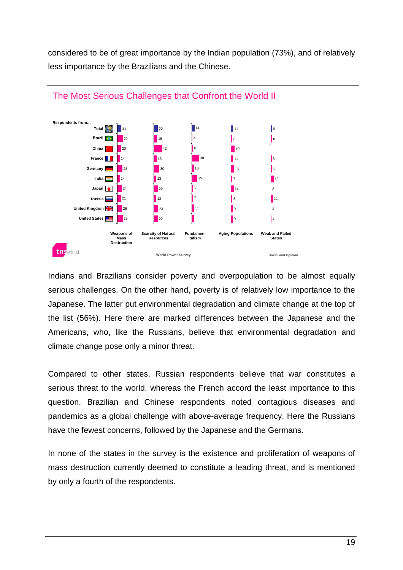considered to be of great importance by the Indian population (73%), and of relatively less importance by the Brazilians and the Chinese.



Indians and Brazilians consider poverty and overpopulation to be almost equally serious challenges. On the other hand, poverty is of relatively low importance to the Japanese. The latter put environmental degradation and climate change at the top of the list (56%). Here there are marked differences between the Japanese and the Americans, who, like the Russians, believe that environmental degradation and climate change pose only a minor threat.

Compared to other states, Russian respondents believe that war constitutes a serious threat to the world, whereas the French accord the least importance to this question. Brazilian and Chinese respondents noted contagious diseases and pandemics as a global challenge with above-average frequency. Here the Russians have the fewest concerns, followed by the Japanese and the Germans.

In none of the states in the survey is the existence and proliferation of weapons of mass destruction currently deemed to constitute a leading threat, and is mentioned by only a fourth of the respondents.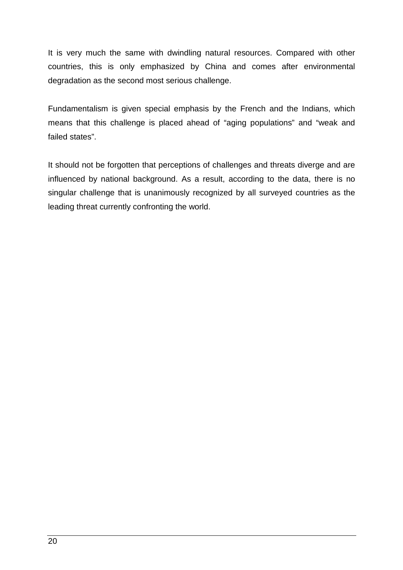It is very much the same with dwindling natural resources. Compared with other countries, this is only emphasized by China and comes after environmental degradation as the second most serious challenge.

Fundamentalism is given special emphasis by the French and the Indians, which means that this challenge is placed ahead of "aging populations" and "weak and failed states".

It should not be forgotten that perceptions of challenges and threats diverge and are influenced by national background. As a result, according to the data, there is no singular challenge that is unanimously recognized by all surveyed countries as the leading threat currently confronting the world.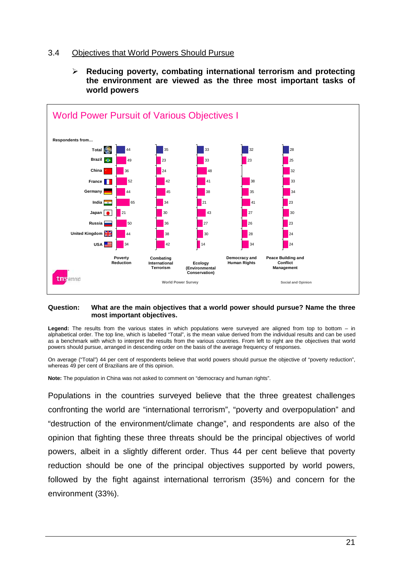## 3.4 Objectives that World Powers Should Pursue



 **Reducing poverty, combating international terrorism and protecting the environment are viewed as the three most important tasks of world powers**

#### **Question: What are the main objectives that a world power should pursue? Name the three most important objectives.**

**Legend:** The results from the various states in which populations were surveyed are aligned from top to bottom – in alphabetical order. The top line, which is labelled "Total", is the mean value derived from the individual results and can be used as a benchmark with which to interpret the results from the various countries. From left to right are the objectives that world powers should pursue, arranged in descending order on the basis of the average frequency of responses.

On average ("Total") 44 per cent of respondents believe that world powers should pursue the objective of "poverty reduction", whereas 49 per cent of Brazilians are of this opinion.

**Note:** The population in China was not asked to comment on "democracy and human rights".

Populations in the countries surveyed believe that the three greatest challenges confronting the world are "international terrorism", "poverty and overpopulation" and "destruction of the environment/climate change", and respondents are also of the opinion that fighting these three threats should be the principal objectives of world powers, albeit in a slightly different order. Thus 44 per cent believe that poverty reduction should be one of the principal objectives supported by world powers, followed by the fight against international terrorism (35%) and concern for the environment (33%).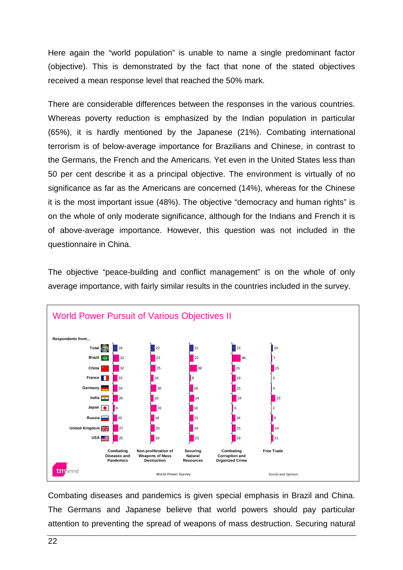Here again the "world population" is unable to name a single predominant factor (objective). This is demonstrated by the fact that none of the stated objectives received a mean response level that reached the 50% mark.

There are considerable differences between the responses in the various countries. Whereas poverty reduction is emphasized by the Indian population in particular (65%), it is hardly mentioned by the Japanese (21%). Combating international terrorism is of below-average importance for Brazilians and Chinese, in contrast to the Germans, the French and the Americans. Yet even in the United States less than 50 per cent describe it as a principal objective. The environment is virtually of no significance as far as the Americans are concerned (14%), whereas for the Chinese it is the most important issue (48%). The objective "democracy and human rights" is on the whole of only moderate significance, although for the Indians and French it is of above-average importance. However, this question was not included in the questionnaire in China.

The objective "peace-building and conflict management" is on the whole of only average importance, with fairly similar results in the countries included in the survey.



Combating diseases and pandemics is given special emphasis in Brazil and China. The Germans and Japanese believe that world powers should pay particular attention to preventing the spread of weapons of mass destruction. Securing natural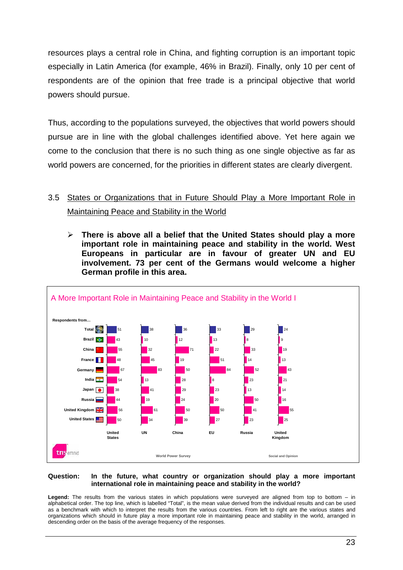resources plays a central role in China, and fighting corruption is an important topic especially in Latin America (for example, 46% in Brazil). Finally, only 10 per cent of respondents are of the opinion that free trade is a principal objective that world powers should pursue.

Thus, according to the populations surveyed, the objectives that world powers should pursue are in line with the global challenges identified above. Yet here again we come to the conclusion that there is no such thing as one single objective as far as world powers are concerned, for the priorities in different states are clearly divergent.

# 3.5 States or Organizations that in Future Should Play a More Important Role in Maintaining Peace and Stability in the World

 **There is above all a belief that the United States should play a more important role in maintaining peace and stability in the world. West Europeans in particular are in favour of greater UN and EU involvement. 73 per cent of the Germans would welcome a higher German profile in this area.**



#### **Question: In the future, what country or organization should play a more important international role in maintaining peace and stability in the world?**

**Legend:** The results from the various states in which populations were surveyed are aligned from top to bottom – in alphabetical order. The top line, which is labelled "Total", is the mean value derived from the individual results and can be used as a benchmark with which to interpret the results from the various countries. From left to right are the various states and organizations which should in future play a more important role in maintaining peace and stability in the world, arranged in descending order on the basis of the average frequency of the responses.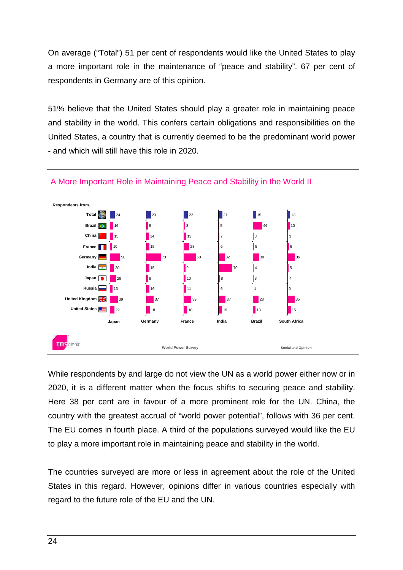On average ("Total") 51 per cent of respondents would like the United States to play a more important role in the maintenance of "peace and stability". 67 per cent of respondents in Germany are of this opinion.

51% believe that the United States should play a greater role in maintaining peace and stability in the world. This confers certain obligations and responsibilities on the United States, a country that is currently deemed to be the predominant world power - and which will still have this role in 2020.



While respondents by and large do not view the UN as a world power either now or in 2020, it is a different matter when the focus shifts to securing peace and stability. Here 38 per cent are in favour of a more prominent role for the UN. China, the country with the greatest accrual of "world power potential", follows with 36 per cent. The EU comes in fourth place. A third of the populations surveyed would like the EU to play a more important role in maintaining peace and stability in the world.

The countries surveyed are more or less in agreement about the role of the United States in this regard. However, opinions differ in various countries especially with regard to the future role of the EU and the UN.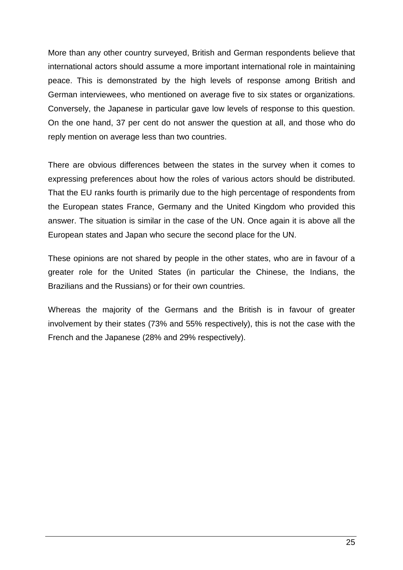More than any other country surveyed, British and German respondents believe that international actors should assume a more important international role in maintaining peace. This is demonstrated by the high levels of response among British and German interviewees, who mentioned on average five to six states or organizations. Conversely, the Japanese in particular gave low levels of response to this question. On the one hand, 37 per cent do not answer the question at all, and those who do reply mention on average less than two countries.

There are obvious differences between the states in the survey when it comes to expressing preferences about how the roles of various actors should be distributed. That the EU ranks fourth is primarily due to the high percentage of respondents from the European states France, Germany and the United Kingdom who provided this answer. The situation is similar in the case of the UN. Once again it is above all the European states and Japan who secure the second place for the UN.

These opinions are not shared by people in the other states, who are in favour of a greater role for the United States (in particular the Chinese, the Indians, the Brazilians and the Russians) or for their own countries.

Whereas the majority of the Germans and the British is in favour of greater involvement by their states (73% and 55% respectively), this is not the case with the French and the Japanese (28% and 29% respectively).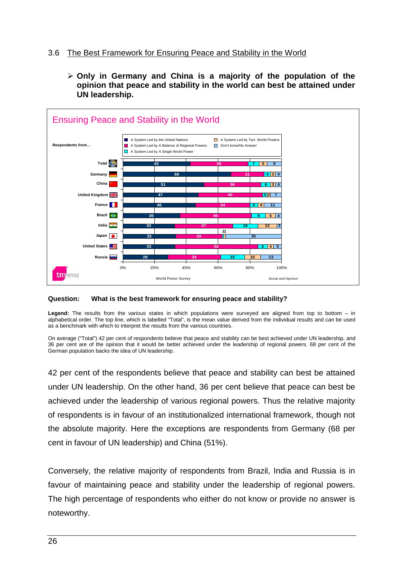## 3.6 The Best Framework for Ensuring Peace and Stability in the World

 **Only in Germany and China is a majority of the population of the opinion that peace and stability in the world can best be attained under UN leadership.**



#### **Question: What is the best framework for ensuring peace and stability?**

**Legend:** The results from the various states in which populations were surveyed are aligned from top to bottom – in alphabetical order. The top line, which is labelled "Total", is the mean value derived from the individual results and can be used as a benchmark with which to interpret the results from the various countries.

On average ("Total") 42 per cent of respondents believe that peace and stability can be best achieved under UN leadership, and 36 per cent are of the opinion that it would be better achieved under the leadership of regional powers. 68 per cent of the German population backs the idea of UN leadership.

42 per cent of the respondents believe that peace and stability can best be attained under UN leadership. On the other hand, 36 per cent believe that peace can best be achieved under the leadership of various regional powers. Thus the relative majority of respondents is in favour of an institutionalized international framework, though not the absolute majority. Here the exceptions are respondents from Germany (68 per cent in favour of UN leadership) and China (51%).

Conversely, the relative majority of respondents from Brazil, India and Russia is in favour of maintaining peace and stability under the leadership of regional powers. The high percentage of respondents who either do not know or provide no answer is noteworthy.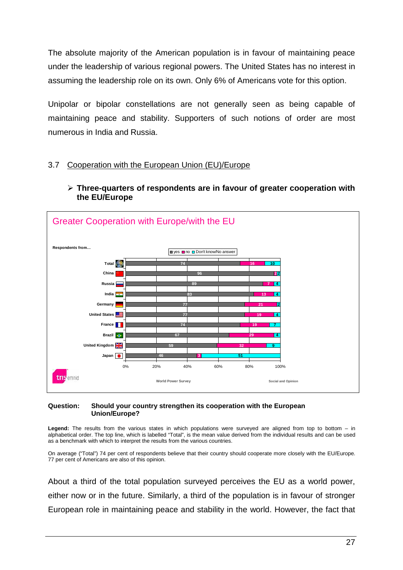The absolute majority of the American population is in favour of maintaining peace under the leadership of various regional powers. The United States has no interest in assuming the leadership role on its own. Only 6% of Americans vote for this option.

Unipolar or bipolar constellations are not generally seen as being capable of maintaining peace and stability. Supporters of such notions of order are most numerous in India and Russia.

## 3.7 Cooperation with the European Union (EU)/Europe

 **Three-quarters of respondents are in favour of greater cooperation with the EU/Europe**



#### **Question: Should your country strengthen its cooperation with the European Union/Europe?**

**Legend:** The results from the various states in which populations were surveyed are aligned from top to bottom – in alphabetical order. The top line, which is labelled "Total", is the mean value derived from the individual results and can be used as a benchmark with which to interpret the results from the various countries.

On average ("Total") 74 per cent of respondents believe that their country should cooperate more closely with the EU/Europe. 77 per cent of Americans are also of this opinion.

About a third of the total population surveyed perceives the EU as a world power, either now or in the future. Similarly, a third of the population is in favour of stronger European role in maintaining peace and stability in the world. However, the fact that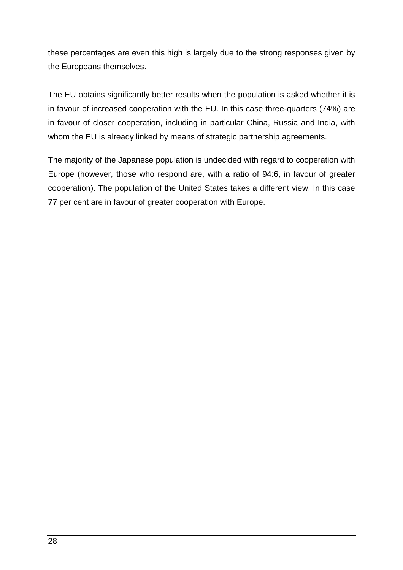these percentages are even this high is largely due to the strong responses given by the Europeans themselves.

The EU obtains significantly better results when the population is asked whether it is in favour of increased cooperation with the EU. In this case three-quarters (74%) are in favour of closer cooperation, including in particular China, Russia and India, with whom the EU is already linked by means of strategic partnership agreements.

The majority of the Japanese population is undecided with regard to cooperation with Europe (however, those who respond are, with a ratio of 94:6, in favour of greater cooperation). The population of the United States takes a different view. In this case 77 per cent are in favour of greater cooperation with Europe.